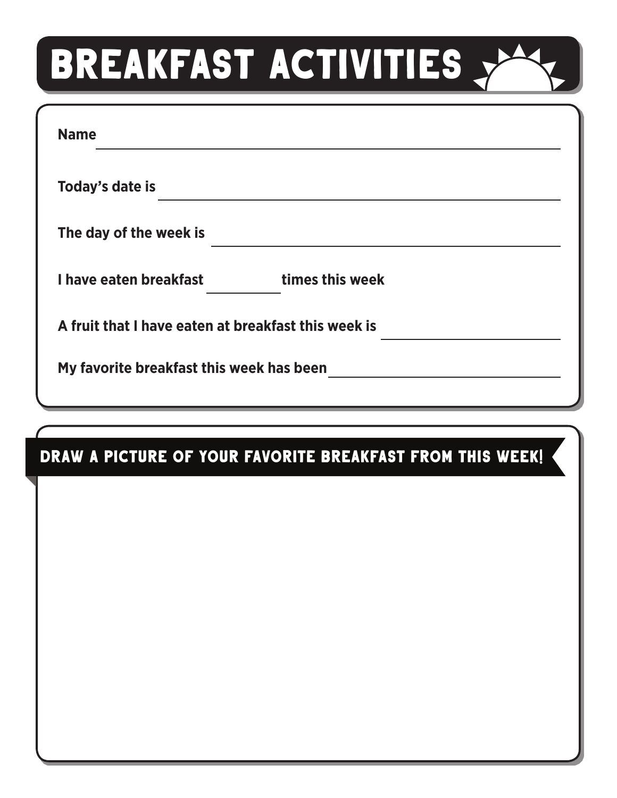## **BREAKFAST ACTIVITIES**

| <b>Name</b>                                         |                 |  |
|-----------------------------------------------------|-----------------|--|
| Today's date is                                     |                 |  |
| The day of the week is                              |                 |  |
| I have eaten breakfast                              | times this week |  |
| A fruit that I have eaten at breakfast this week is |                 |  |
| My favorite breakfast this week has been            |                 |  |
|                                                     |                 |  |

## DRAW A PICTURE OF YOUR FAVORITE BREAKFAST FROM THIS WEEK!